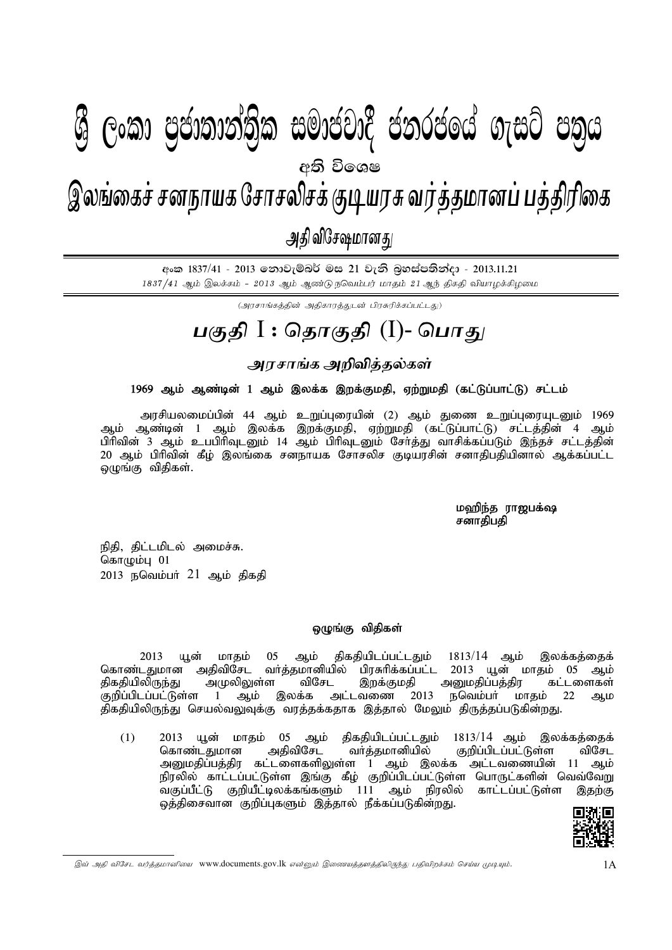## $\mathbf{A} \quad \mathbf{A} \quad \mathbf{A} \quad \mathbf{A} \quad \mathbf{A} \quad \mathbf{A} \quad \mathbf{A} \quad \mathbf{A} \quad \mathbf{A} \quad \mathbf{A} \quad \mathbf{A} \quad \mathbf{A} \quad \mathbf{A} \quad \mathbf{A} \quad \mathbf{A} \quad \mathbf{A} \quad \mathbf{A} \quad \mathbf{A} \quad \mathbf{A} \quad \mathbf{A} \quad \mathbf{A} \quad \mathbf{A} \quad \mathbf{A} \quad \mathbf{A} \quad \mathbf{A} \quad \mathbf{A} \quad \mathbf{A} \quad \mathbf{$ gFjp I : njhFjp (I) - ,yq;ifr; rdehaf Nrhryprf; FbauR tu;j;jkhdg; gj;jpupif - mjp tpN\rkhdJ - 2013.11.21 இலங்கைச் சனநாயக சோசலிசக் குடியரசு வர்த்தமானப் பத்திரிகை அதி விசேஷமானது  $\mathcal{Y}$  ලංකා පියාතාතාතික සුඛායයාද් යනුරයගේ බැසුර යනිය අති වි**ං**ශෂ

<u> අංක 1837/41 - 2013 නොවැම්බර් මස 21 වැනි බුහස්පතින්දා - 2013.11.21</u> 1837/41 ஆம் இலக்கம் - 2013 ஆம் ஆண்டு நவெம்பர் மாதம் 21 ஆந் திகதி வியாழக்கிழமை

(அரசாங்கக்கின் அதிகாரக்குடன் பிரசுரிக்கப்பட்டது)

## <u>பகுதி</u> I : தொகுதி (I)- பொது

**murhqf mwptpj ; jy; fs; ;**

### 1969 ஆம் ஆண்டின் 1 ஆம் இலக்க இறக்குமதி, ஏற்றுமதி (கட்டுப்பாட்டு) சட்டம்

அரசியலமைப்பின் 44 ஆம் உறுப்புரையின் (2) ஆம் துணை உறுப்புரையுடனும் 1969 ஆம் ஆண்டின் 1 ஆம் இலக்க இறக்குமதி, ஏற்றுமதி (கட்டுப்பாட்டு) சட்டத்தின் 4 ஆம் ் பிரிவின் 3 ஆம் உபபிரிவுடனும் 14 ஆம் பிரிவுடனும் சேர்த்து வாசிக்கப்படும் இந்தச் சட்டத்தின் 20 ஆம் பிரிவின் கீழ் இலங்கை சனநாயக சோசலிச குடியரசின் சனாதிபதியினால் ஆக்கப்பட்ட ஒழுங்கு விதிகள்.

# மஹிந்த ராஜபக்ஷ<br>சனாகிபகி

நிதி, திட்டமிடல் அமைச்சு. கொழும்பு $01$ .<br>2013 நவெம்பா் 21 ஆம் திகதி

#### ஒழுங்கு விதிகள்

 $2013$  யூன் மாதம்  $05$  ஆம் திகதியிடப்பட்டதும்  $1813/14$  ஆம் இலக்கத்தைக் கொண்டதுமான அதிவிசேட வர்த்தமானியில் பிரசுரிக்கப்பட்ட 2013 யூன் மாதம் 05 ஆம் திகதியிலிருந்து அமுலிலுள்ள விசேட இறக்குமதி அனுமதிப்பத்திர கட்டளைகள் .<br>குறிப்பிடப்பட்டுள்ள 1 ஆம் இலக்க அட்டவணை 2013 நவெம்பா் மாதம் 22 ஆம திகதியிலிருந்து செயல்வலுவுக்கு வரத்தக்கதாக இத்தால் மேலும் திருத்தப்படுகின்றது.

 $(1)$  2013 யூன் மாதம் 05 ஆம் திகதியிடப்பட்டதும் 1813/14 ஆம் இலக்கத்தைக் கொண்டதுமான அதிவிசேட வாத்தமானியில் குறிப்பிடப்பட்டுள்ள விசேட அமைதிப்பத்திர கட்டளைகளிலுள்ள 1 ஆம் இலக்க அட்டவணையின் 11 ஆம் நிரலில் காட்டப்பட்டுள்ள இங்கு கீழ் குறிப்பிடப்பட்டுள்ள பொருட்களின் வெவ்வேறு வகுப்பீட்டு குறியீட்டிலக்கங்களும் 111 ஆம் நிரலில் காட்டப்பட்டுள்ள இதற்கு ஒத்திசைவான குறிப்புகளும் இத்தால் நீக்கப்படுகின்றது.



இவ் அதி விசேட வர்த்தமானியை www.documents.gov.lk என்னும் இணையத்தளத்திலிருந்து பதிவிறக்கம் செய்ய முடியும்.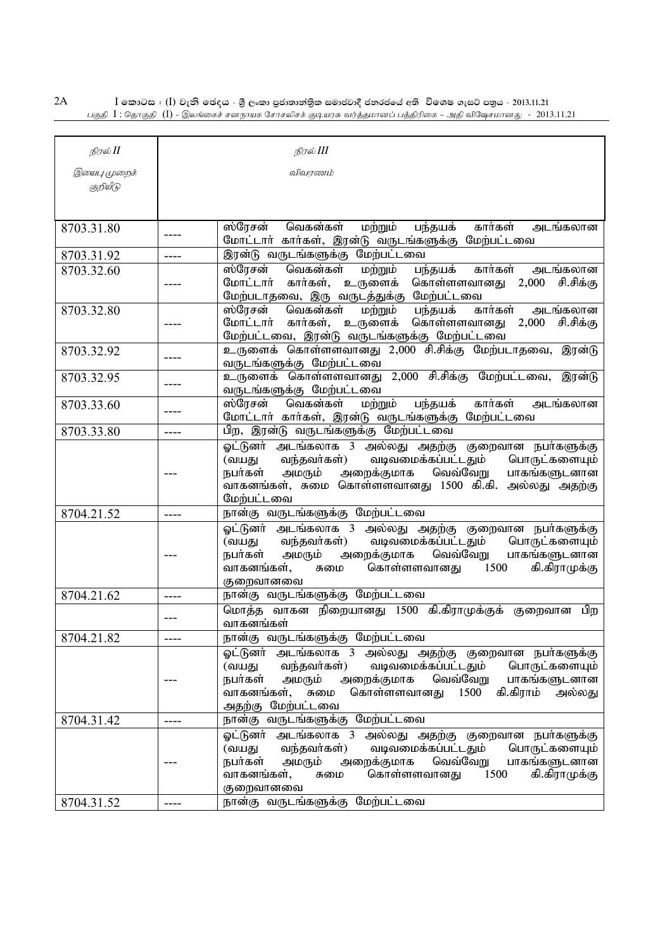$2A$  $I$  කොටස : ( $I$ ) වැනි ඡෙදය - ශුී ලංකා පුජාතාන්තිුක සමාජවාදී ජනරජයේ අති විශෙෂ ගැසට් පතුය - 2013.11.21 .<br>பகுதி  $I$  : தொகுதி (I) - இலங்கைச் சனநாயக சோசலிசக் குடியரசு வர்த்தமானப் பத்திரிகை - அதி விஷேசமானது - 2013.11.21

| நிரல் II     |       | நிரல் III                                                                                                                                                                                                                                              |
|--------------|-------|--------------------------------------------------------------------------------------------------------------------------------------------------------------------------------------------------------------------------------------------------------|
| இயைபு முறைக் |       | விவரணம்                                                                                                                                                                                                                                                |
| குறியீடு     |       |                                                                                                                                                                                                                                                        |
|              |       |                                                                                                                                                                                                                                                        |
|              |       |                                                                                                                                                                                                                                                        |
| 8703.31.80   | ----  | ஸ்ரேசன் வெகன்கள்<br>அடங்கலான<br>மற்றும்<br>கார்கள்<br>பந்தயக்<br>மோட்டார் கார்கள், இரன்டு வருடங்களுக்கு மேற்பட்டவை                                                                                                                                     |
| 8703.31.92   | ----  | இரன்டு வருடங்களுக்கு மேற்பட்டவை                                                                                                                                                                                                                        |
| 8703.32.60   |       | ஸ்ரேசன்<br>வெகன்கள்<br>கார்கள்<br>மற்றும்<br>பந்தயக்<br>அடங்கலான                                                                                                                                                                                       |
|              |       | மோட்டார் கார்கள், உருளைக்<br>கொள்ளளவானது 2,000 சி.சிக்கு<br>மேற்படாதவை, இரு வருடத்துக்கு மேற்பட்டவை                                                                                                                                                    |
| 8703.32.80   |       | கார்கள்<br>அடங்கலான<br>ஸ்ரேசன்<br>வெகன்கள்<br>மற்றும்<br>பந்தயக்                                                                                                                                                                                       |
|              |       | கொள்ளளவானது 2,000<br>மோட்டார் கார்கள், உருளைக்<br>சி.சிக்கு                                                                                                                                                                                            |
| 8703.32.92   |       | மேற்பட்டவை, இரன்டு வருடங்களுக்கு மேற்பட்டவை<br>உருளைக் கொள்ளளவானது 2,000 சி.சிக்கு மேற்படாதவை, இரன்டு                                                                                                                                                  |
|              | ----  | வருடங்களுக்கு மேற்பட்டவை                                                                                                                                                                                                                               |
| 8703.32.95   | ----  | உருளைக் கொள்ளளவானது 2,000 சி.சிக்கு மேற்பட்டவை, இரன்டு                                                                                                                                                                                                 |
|              |       | வருடங்களுக்கு மேற்பட்டவை<br>கார்கள்                                                                                                                                                                                                                    |
| 8703.33.60   | ----  | மற்றும்<br>பந்தயக்<br>அடங்கலான<br>ஸ்ரேசன்<br>வெகன்கள்<br>மோட்டாா் காா்கள், இரன்டு வருடங்களுக்கு மேற்பட்டவை                                                                                                                                             |
| 8703.33.80   | ----  | பிற, இரன்டு வருடங்களுக்கு மேற்பட்டவை                                                                                                                                                                                                                   |
|              |       | ஓட்டுனா் அடங்கலாக 3 அல்லது அதற்கு குறைவான நபா்களுக்கு<br>வந்தவர்கள்) வடிவமைக்கப்பட்டதும் பொருட்களையும்<br>(வயது<br>அறைக்குமாக வெவ்வேறு<br>நபர்கள்<br>அமரும்<br>பாகங்களுடனான<br>வாகனங்கள், சுமை கொள்ளளவானது 1500 கி.கி. அல்லது அதற்கு<br>மேற்பட்டவை     |
| 8704.21.52   | ----  | நான்கு வருடங்களுக்கு மேற்பட்டவை                                                                                                                                                                                                                        |
|              |       | ஓட்டுனா் அடங்கலாக 3 அல்லது அதற்கு குறைவான நபா்களுக்கு<br>வந்தவர்கள்) வடிவமைக்கப்பட்டதும் பொருட்களையும்<br>(வயது<br>அறைக்குமாக வெவ்வேறு<br>நபர்கள்<br>அமரும்<br>பாகங்களுடனான<br>கொள்ளளவானது<br>1500<br>கி.கிராமுக்கு<br>வாகனங்கள்,<br>சுமை<br>குறைவானவை |
| 8704.21.62   | ----  | நான்கு வருடங்களுக்கு மேற்பட்டவை                                                                                                                                                                                                                        |
|              | ---   | மொத்த வாகன நிறையானது 1500 கி.கிராமுக்குக் குறைவான<br>பிற<br>வாகனங்கள்                                                                                                                                                                                  |
| 8704.21.82   |       | நான்கு வருடங்களுக்கு மேற்பட்டவை                                                                                                                                                                                                                        |
|              |       | ஓட்டுனர் அடங்கலாக 3 அல்லது அதற்கு குறைவான நபர்களுக்கு<br>(வயது வந்தவா்கள்) வடிவமைக்கப்பட்டதும் பொருட்களையும்<br>.<br>நபா்கள் அமரும் அறைக்குமாக வெவ்வேறு பாகங்களுடனான<br>வாகனங்கள், சுமை<br>கொள்ளளவானது 1500 கி.கிராம் அல்லது<br>அதற்கு மேற்பட்டவை      |
| 8704.31.42   | ----  | நான்கு வருடங்களுக்கு மேற்பட்டவை                                                                                                                                                                                                                        |
|              |       | ஓட்டுனர் அடங்கலாக 3 அல்லது அதற்கு குறைவான நபர்களுக்கு<br>(வயது வந்தவா்கள்) வடிவமைக்கப்பட்டதும் பொருட்களையும்<br>.<br>நபா்கள் அமரும் அறைக்குமாக வெவ்வேறு பாகங்களுடனான<br>கொள்ளளவானது 1500<br>கி.கிராமுக்கு<br>வாகனங்கள்,<br>சுமை<br>குறைவானவை           |
| 8704.31.52   | $---$ | நான்கு வருடங்களுக்கு மேற்பட்டவை                                                                                                                                                                                                                        |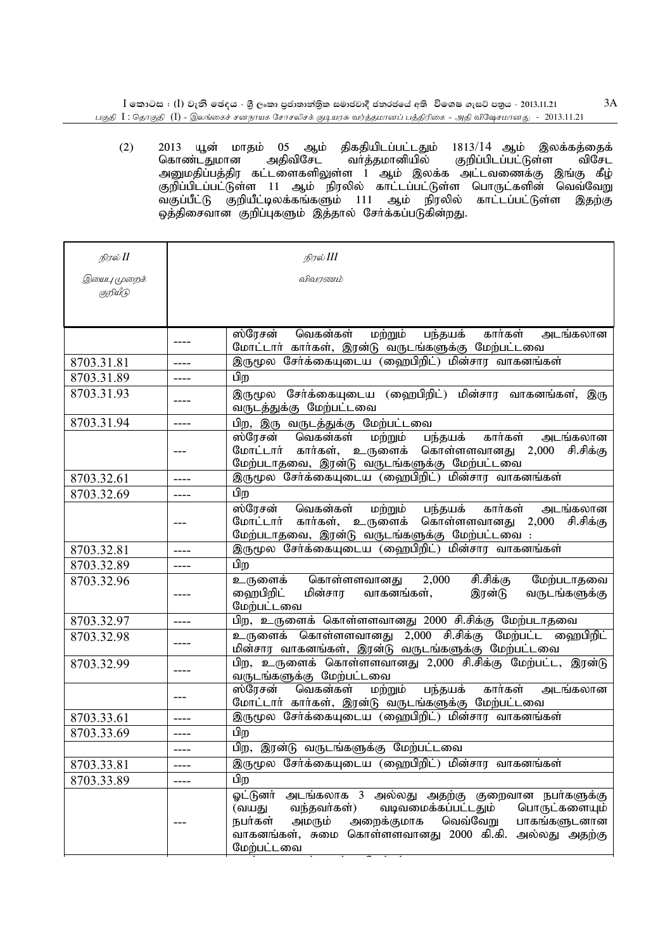$I$  තොටස : (I) වැනි ඡෙදය - ශුී ලංකා පුජාතාන්තිුක සමාජවාදී ජනරජයේ අති විශෙෂ ගැසට් පතුය - 2013.11.21 பகுதி  $I$  : தொகுதி  $(I)$  - இலங்கைச் சனநாயக சோசலிசக் குடியரசு வர்த்தமானப் பத்திரிகை - அதி விஷேசமானது -  $\,$  2013.11.21 3A

 $(2)$  2013 யூன் மாதம் 05 ஆம் திகதியிடப்பட்டதும் 1813/14 ஆம் இலக்கத்தைக் கொண்டதுமான அதிவிசேட வர்த்தமானியில் குறிப்பிடப்பட்டுள்ள விசேட ுமாண்டதுமான அதங்கை வாததமானங்கை குநிப்படப்பட்டுள்ள வகை ந அனுகதிப்பத்திர கட்டணைகளதுள்ள : குட காட்டார் ;<br>குறிப்பிடப்பட்டுள்ள 11 ஆம் நிரலில் காட்டப்பட்டுள்ள பொருட்களின் வெவ்வேறு வகுப்பீட்டு குறியீட்டிலக்கங்களும் 111 ஆம் நிரலில் காட்டப்பட்டுள்ள இதற்கு ஒத்திசைவான குறிப்புகளும் இத்தால் சேர்க்கப்படுகின்றது.

| இயைபு முறைக்<br>குறியீடு |         |                                                                                                                                                                                                                                                                      |
|--------------------------|---------|----------------------------------------------------------------------------------------------------------------------------------------------------------------------------------------------------------------------------------------------------------------------|
|                          |         | விவரணம்                                                                                                                                                                                                                                                              |
|                          |         |                                                                                                                                                                                                                                                                      |
|                          | ----    | ஸ்ரேசன்<br>வெகன்கள்<br>மற்றும்<br>பந்தயக்<br>கார்கள்<br>அடங்கலான<br>மோட்டாா் காா்கள், இரன்டு வருடங்களுக்கு மேற்பட்டவை                                                                                                                                                |
| 8703.31.81               | ----    | இருமூல சேர்க்கையுடைய (ஹைபிறிட்) மின்சார வாகனங்கள்                                                                                                                                                                                                                    |
| 8703.31.89               | ----    | பிற                                                                                                                                                                                                                                                                  |
| 8703.31.93               |         | இருமூல சேர்க்கையுடைய (ஹைபிறிட்) மின்சார வாகனங்கள, இரு<br>வருடத்துக்கு மேற்பட்டவை                                                                                                                                                                                     |
| 8703.31.94               | $--- -$ | பிற, இரு வருடத்துக்கு மேற்பட்டவை                                                                                                                                                                                                                                     |
|                          |         | பந்தயக்<br>ஸ்ரேசன்<br>வெகன்கள்<br>கார்கள்<br>அடங்கலான<br>மற்றும்<br>மோட்டார் கார்கள், உருளைக் கொள்ளளவானது 2,000 சி.சிக்கு<br>மேற்படாதவை, இரன்டு வருடங்களுக்கு மேற்பட்டவை                                                                                             |
| 8703.32.61               | ----    | <u>இருமூல சேர்க்கையுடைய (ஹைபிறிட்) மின்சார வாகனங்கள்</u>                                                                                                                                                                                                             |
| 8703.32.69               | ----    | பிற                                                                                                                                                                                                                                                                  |
|                          |         | ஸ்ரேசன் வெகன்கள்<br>மற்றும் பந்தயக்<br>கார்கள்<br>அடங்கலான<br>மோட்டார் கார்கள், உருளைக் கொள்ளளவானது 2,000 சி.சிக்கு                                                                                                                                                  |
| 8703.32.81               | ----    | <u>மேற்படாதவை, இரன்டு வருடங்களுக்கு மேற்பட்டவை :<br/>இருமூல சேர்க்கையுடைய (ஹைபிறிட்) மின்சார வாகனங்கள்</u>                                                                                                                                                           |
| 8703.32.89               | ----    | பிற                                                                                                                                                                                                                                                                  |
| 8703.32.96               |         | சி.சிக்கு<br>உருளைக் கொள்ளளவானது<br>2,000<br>மேற்படாதவை<br>ஹைபிறிட்<br>மின்சார வாகனங்கள்,<br>இரன்டு<br>வருடங்களுக்கு<br>மேற்பட்டவை                                                                                                                                   |
| 8703.32.97               | ----    | பிற, உருளைக் கொள்ளளவானது 2000 சி.சிக்கு மேற்படாதவை                                                                                                                                                                                                                   |
| 8703.32.98               | ----    | உருளைக் கொள்ளளவானது 2,000 சி.சிக்கு மேற்பட்ட ஹைபிறிட்<br><u>மின்சார வாகனங்கள், இரன்டு வருடங்களுக்கு</u> மேற்பட்டவை                                                                                                                                                   |
| 8703.32.99               |         | பிற, உருளைக் கொள்ளளவானது 2,000 சி.சிக்கு மேற்பட்ட, இரன்டு<br>வருடங்களுக்கு மேற்பட்டவை                                                                                                                                                                                |
|                          |         | பந்தயக் கார்கள்<br>ஸ்ரேசன்<br>வெகன்கள்<br>மற்றும்<br>அடங்கலான<br>மோட்டார் கார்கள், இரன்டு வருடங்களுக்கு மேற்பட்டவை                                                                                                                                                   |
| 8703.33.61               |         | இருமூல சேர்க்கையுடைய (ஹைபிறிட்) மின்சார வாகனங்கள்                                                                                                                                                                                                                    |
| 8703.33.69               | ----    | பிற                                                                                                                                                                                                                                                                  |
|                          |         | பிற, இரன்டு வருடங்களுக்கு மேற்பட்டவை                                                                                                                                                                                                                                 |
| 8703.33.81               |         | இருமூல சேர்க்கையுடைய (ஹைபிறிட்) மின்சார வாகனங்கள்                                                                                                                                                                                                                    |
| 8703.33.89               | ----    | பிற                                                                                                                                                                                                                                                                  |
|                          |         | ஓட்டுனர்<br>அடங்கலாக 3 அல்லது அதற்கு குறைவான நபா்களுக்கு<br>பொருட்களையும்<br>வந்தவர்கள்)<br>வடிவமைக்கப்பட்டதும்<br>(வயது<br>அறைக்குமாக<br>வெவ்வேறு<br>நபர்கள்<br>அமரும்<br>பாகங்களுடனான<br>கொள்ளளவானது 2000 கி.கி.<br>வாகனங்கள், சுமை<br>அல்லது அதற்கு<br>மேற்பட்டவை |